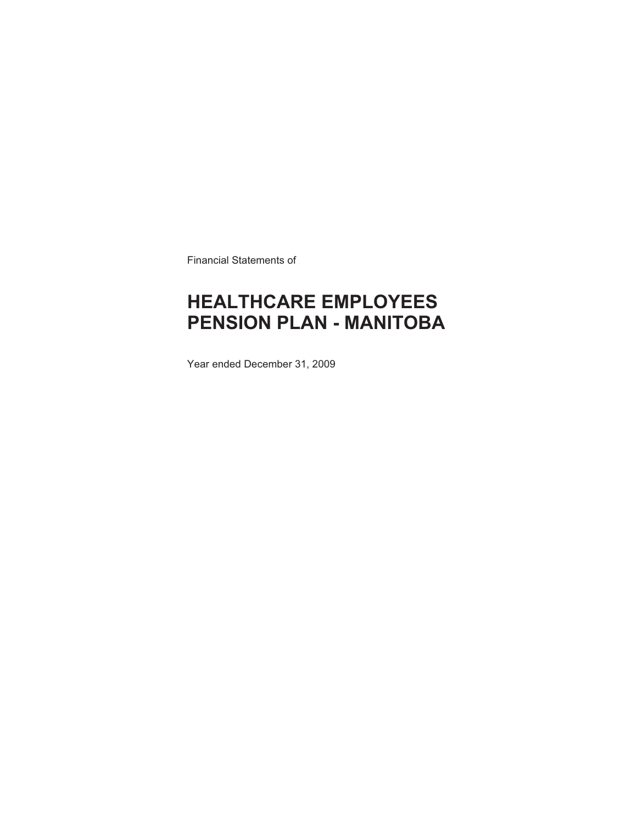Financial Statements of

# **HEALTHCARE EMPLOYEES PENSION PLAN - MANITOBA**

Year ended December 31, 2009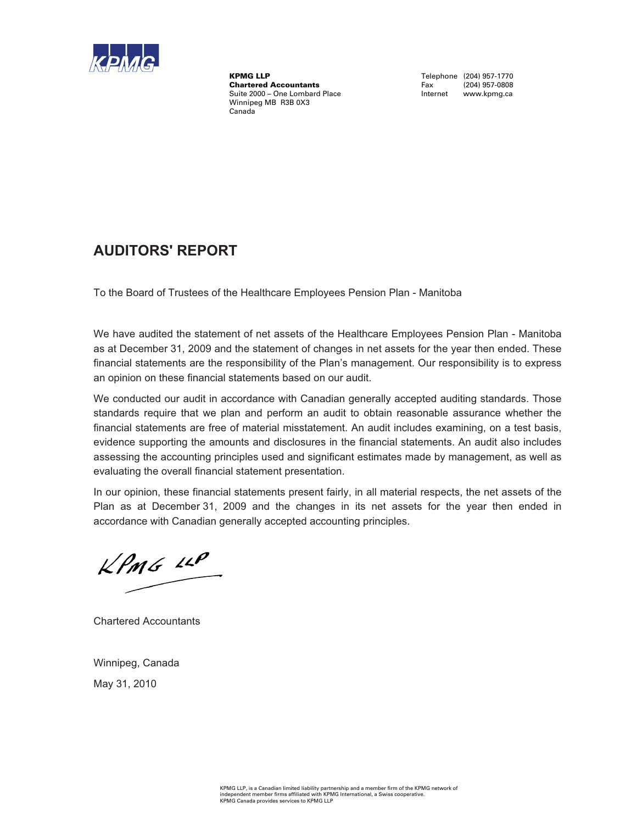

KPMG LLP<br>
Chartered Accountants<br>
Chartered Accountants<br>
Tax (204) 957-0808 **Chartered Accountants** Fax (204) 957-0808<br>Suite 2000 – One Lombard Place **Face Communist Contract Contract Contract** Www.kpmg.ca Suite 2000 – One Lombard Place Winnipeg MB R3B 0X3 Canada

### **AUDITORS' REPORT**

To the Board of Trustees of the Healthcare Employees Pension Plan - Manitoba

We have audited the statement of net assets of the Healthcare Employees Pension Plan - Manitoba as at December 31, 2009 and the statement of changes in net assets for the year then ended. These financial statements are the responsibility of the Plan's management. Our responsibility is to express an opinion on these financial statements based on our audit.

We conducted our audit in accordance with Canadian generally accepted auditing standards. Those standards require that we plan and perform an audit to obtain reasonable assurance whether the financial statements are free of material misstatement. An audit includes examining, on a test basis, evidence supporting the amounts and disclosures in the financial statements. An audit also includes assessing the accounting principles used and significant estimates made by management, as well as evaluating the overall financial statement presentation.

In our opinion, these financial statements present fairly, in all material respects, the net assets of the Plan as at December 31, 2009 and the changes in its net assets for the year then ended in accordance with Canadian generally accepted accounting principles.

 $KPMG$  14P

Chartered Accountants

Winnipeg, Canada May 31, 2010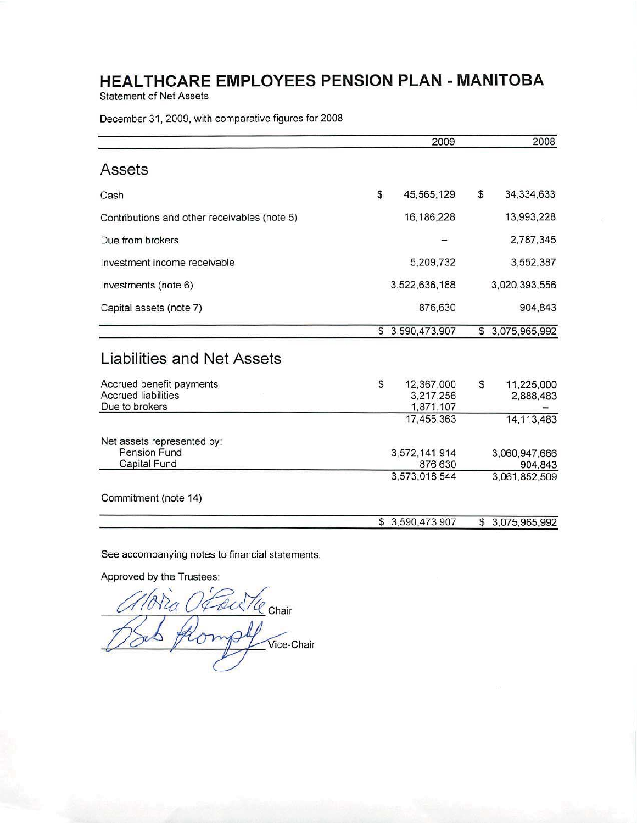**Statement of Net Assets** 

December 31, 2009, with comparative figures for 2008

|                                                                          | 2009                                       | 2008                          |
|--------------------------------------------------------------------------|--------------------------------------------|-------------------------------|
| Assets                                                                   |                                            |                               |
| Cash                                                                     | \$<br>45,565,129                           | \$<br>34,334,633              |
| Contributions and other receivables (note 5)                             | 16,186,228                                 | 13,993,228                    |
| Due from brokers                                                         |                                            | 2,787,345                     |
| Investment income receivable                                             | 5,209,732                                  | 3,552,387                     |
| Investments (note 6)                                                     | 3,522,636,188                              | 3,020,393,556                 |
| Capital assets (note 7)                                                  | 876,630                                    | 904,843                       |
|                                                                          | \$3,590,473,907                            | \$3,075,965,992               |
| Liabilities and Net Assets                                               |                                            |                               |
| Accrued benefit payments<br><b>Accrued liabilities</b><br>Due to brokers | \$<br>12,367,000<br>3,217,256<br>1,871,107 | \$<br>11,225,000<br>2,888,483 |
|                                                                          | 17,455,363                                 | 14, 113, 483                  |
| Net assets represented by:<br>Pension Fund<br>Capital Fund               | 3,572,141,914<br>876,630                   | 3,060,947,666<br>904,843      |
| Commitment (note 14)                                                     | 3,573,018,544                              | 3,061,852,509                 |
|                                                                          | \$3,590,473,907                            | \$3,075,965,992               |

See accompanying notes to financial statements.

Approved by the Trustees:

Foutle Chair Vice-Chair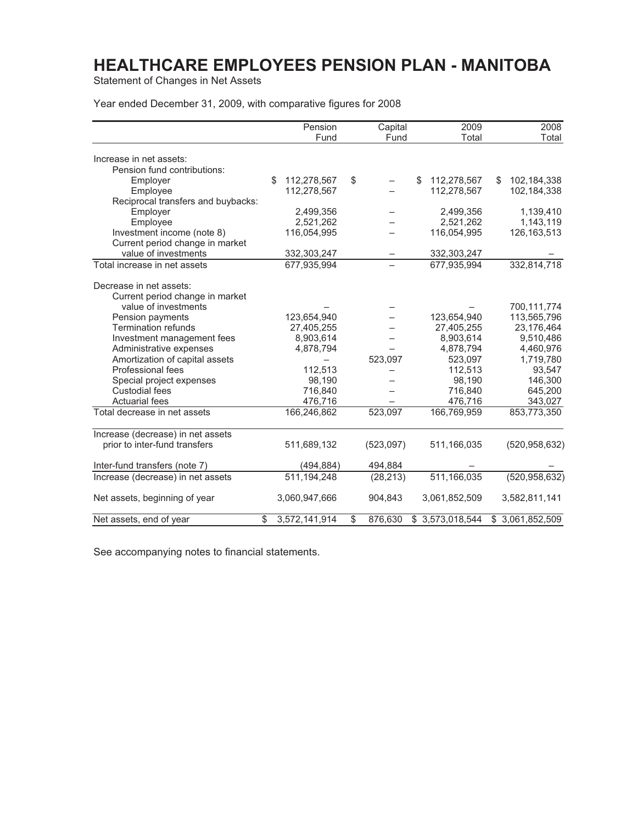Statement of Changes in Net Assets

Year ended December 31, 2009, with comparative figures for 2008

|                                    | Pension             | Capital       | 2009              | 2008              |
|------------------------------------|---------------------|---------------|-------------------|-------------------|
|                                    | Fund                | Fund          | Total             | Total             |
| Increase in net assets:            |                     |               |                   |                   |
| Pension fund contributions:        |                     |               |                   |                   |
| Employer                           | 112,278,567<br>\$   | \$            | \$<br>112,278,567 | \$<br>102,184,338 |
| Employee                           | 112,278,567         |               | 112,278,567       | 102,184,338       |
| Reciprocal transfers and buybacks: |                     |               |                   |                   |
| Employer                           | 2,499,356           |               | 2,499,356         | 1,139,410         |
| Employee                           | 2,521,262           |               | 2,521,262         | 1,143,119         |
| Investment income (note 8)         | 116,054,995         |               | 116,054,995       | 126, 163, 513     |
| Current period change in market    |                     |               |                   |                   |
| value of investments               |                     |               |                   |                   |
|                                    | 332,303,247         |               | 332,303,247       | 332,814,718       |
| Total increase in net assets       | 677,935,994         |               | 677,935,994       |                   |
| Decrease in net assets:            |                     |               |                   |                   |
| Current period change in market    |                     |               |                   |                   |
| value of investments               |                     |               |                   | 700,111,774       |
| Pension payments                   | 123,654,940         |               | 123,654,940       | 113,565,796       |
| <b>Termination refunds</b>         | 27,405,255          |               | 27,405,255        | 23,176,464        |
| Investment management fees         | 8,903,614           |               | 8,903,614         | 9,510,486         |
| Administrative expenses            | 4,878,794           |               | 4,878,794         | 4,460,976         |
| Amortization of capital assets     |                     | 523,097       | 523,097           | 1,719,780         |
| Professional fees                  | 112,513             |               | 112,513           | 93,547            |
| Special project expenses           | 98,190              |               | 98,190            | 146,300           |
| <b>Custodial fees</b>              | 716,840             |               | 716,840           | 645,200           |
| <b>Actuarial fees</b>              | 476,716             |               | 476,716           | 343,027           |
| Total decrease in net assets       | 166,246,862         | 523,097       | 166,769,959       | 853,773,350       |
|                                    |                     |               |                   |                   |
| Increase (decrease) in net assets  |                     |               |                   |                   |
| prior to inter-fund transfers      | 511,689,132         | (523,097)     | 511,166,035       | (520, 958, 632)   |
| Inter-fund transfers (note 7)      | (494, 884)          | 494,884       |                   |                   |
| Increase (decrease) in net assets  | 511,194,248         | (28, 213)     | 511,166,035       | (520, 958, 632)   |
|                                    |                     |               |                   |                   |
| Net assets, beginning of year      | 3,060,947,666       | 904,843       | 3,061,852,509     | 3,582,811,141     |
| Net assets, end of year            | \$<br>3,572,141,914 | \$<br>876,630 | \$3,573,018,544   | \$3,061,852,509   |

See accompanying notes to financial statements.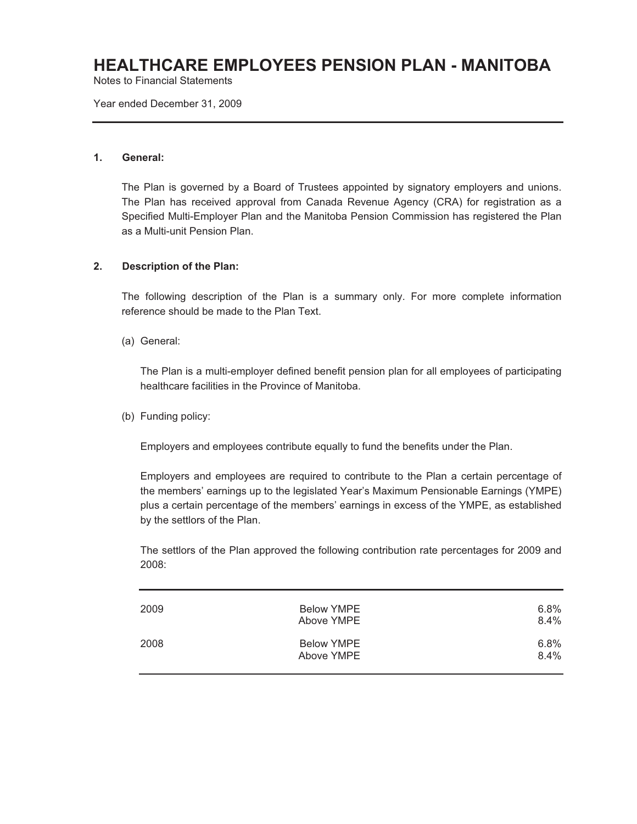Notes to Financial Statements

Year ended December 31, 2009

#### **1. General:**

The Plan is governed by a Board of Trustees appointed by signatory employers and unions. The Plan has received approval from Canada Revenue Agency (CRA) for registration as a Specified Multi-Employer Plan and the Manitoba Pension Commission has registered the Plan as a Multi-unit Pension Plan.

#### **2. Description of the Plan:**

The following description of the Plan is a summary only. For more complete information reference should be made to the Plan Text.

(a) General:

The Plan is a multi-employer defined benefit pension plan for all employees of participating healthcare facilities in the Province of Manitoba.

(b) Funding policy:

Employers and employees contribute equally to fund the benefits under the Plan.

Employers and employees are required to contribute to the Plan a certain percentage of the members' earnings up to the legislated Year's Maximum Pensionable Earnings (YMPE) plus a certain percentage of the members' earnings in excess of the YMPE, as established by the settlors of the Plan.

The settlors of the Plan approved the following contribution rate percentages for 2009 and 2008:

| 2009 | <b>Below YMPE</b><br>Above YMPE | 6.8%<br>8.4% |
|------|---------------------------------|--------------|
| 2008 | <b>Below YMPE</b><br>Above YMPE | 6.8%<br>8.4% |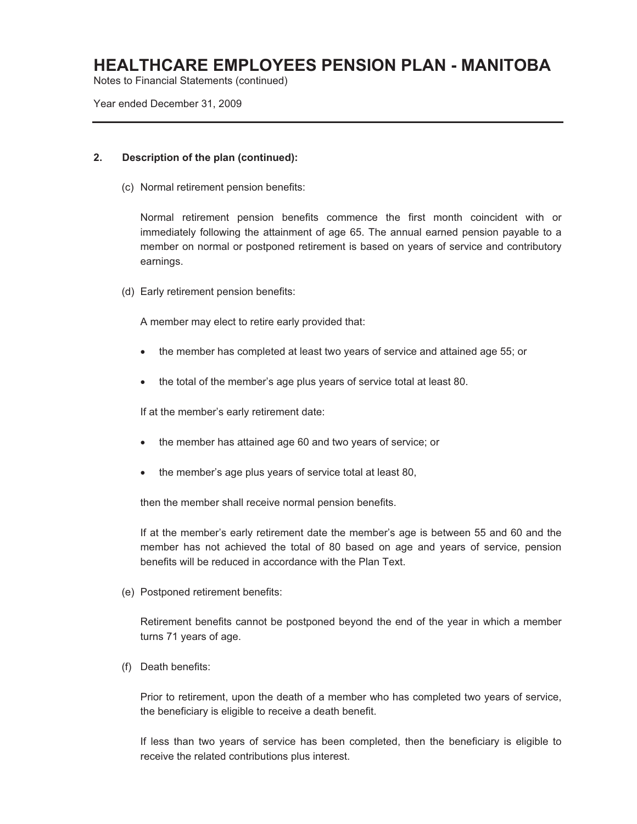Notes to Financial Statements (continued)

Year ended December 31, 2009

#### **2. Description of the plan (continued):**

(c) Normal retirement pension benefits:

Normal retirement pension benefits commence the first month coincident with or immediately following the attainment of age 65. The annual earned pension payable to a member on normal or postponed retirement is based on years of service and contributory earnings.

(d) Early retirement pension benefits:

A member may elect to retire early provided that:

- the member has completed at least two years of service and attained age 55; or
- $\bullet$ the total of the member's age plus years of service total at least 80.

If at the member's early retirement date:

- the member has attained age 60 and two years of service; or
- $\bullet$ the member's age plus years of service total at least 80,

then the member shall receive normal pension benefits.

If at the member's early retirement date the member's age is between 55 and 60 and the member has not achieved the total of 80 based on age and years of service, pension benefits will be reduced in accordance with the Plan Text.

(e) Postponed retirement benefits:

Retirement benefits cannot be postponed beyond the end of the year in which a member turns 71 years of age.

(f) Death benefits:

Prior to retirement, upon the death of a member who has completed two years of service, the beneficiary is eligible to receive a death benefit.

If less than two years of service has been completed, then the beneficiary is eligible to receive the related contributions plus interest.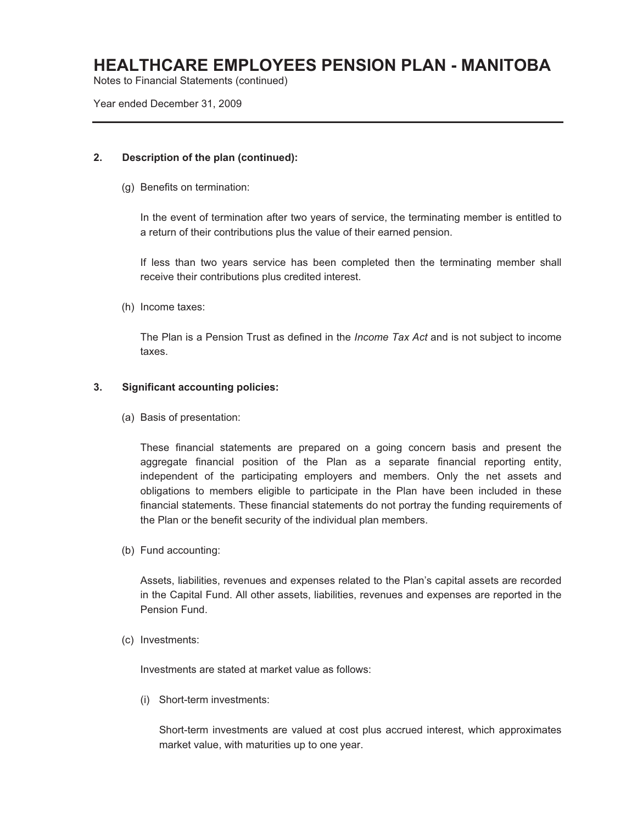Notes to Financial Statements (continued)

Year ended December 31, 2009

#### **2. Description of the plan (continued):**

(g) Benefits on termination:

In the event of termination after two years of service, the terminating member is entitled to a return of their contributions plus the value of their earned pension.

If less than two years service has been completed then the terminating member shall receive their contributions plus credited interest.

(h) Income taxes:

The Plan is a Pension Trust as defined in the *Income Tax Act* and is not subject to income taxes.

#### **3. Significant accounting policies:**

(a) Basis of presentation:

These financial statements are prepared on a going concern basis and present the aggregate financial position of the Plan as a separate financial reporting entity, independent of the participating employers and members. Only the net assets and obligations to members eligible to participate in the Plan have been included in these financial statements. These financial statements do not portray the funding requirements of the Plan or the benefit security of the individual plan members.

(b) Fund accounting:

Assets, liabilities, revenues and expenses related to the Plan's capital assets are recorded in the Capital Fund. All other assets, liabilities, revenues and expenses are reported in the Pension Fund.

(c) Investments:

Investments are stated at market value as follows:

(i) Short-term investments:

Short-term investments are valued at cost plus accrued interest, which approximates market value, with maturities up to one year.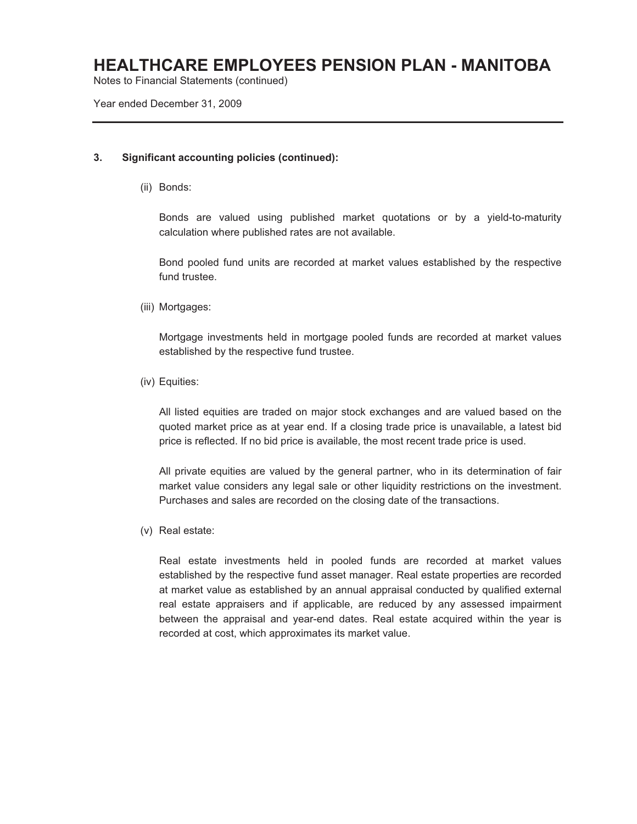Notes to Financial Statements (continued)

Year ended December 31, 2009

#### **3. Significant accounting policies (continued):**

(ii) Bonds:

Bonds are valued using published market quotations or by a yield-to-maturity calculation where published rates are not available.

Bond pooled fund units are recorded at market values established by the respective fund trustee.

(iii) Mortgages:

Mortgage investments held in mortgage pooled funds are recorded at market values established by the respective fund trustee.

(iv) Equities:

All listed equities are traded on major stock exchanges and are valued based on the quoted market price as at year end. If a closing trade price is unavailable, a latest bid price is reflected. If no bid price is available, the most recent trade price is used.

All private equities are valued by the general partner, who in its determination of fair market value considers any legal sale or other liquidity restrictions on the investment. Purchases and sales are recorded on the closing date of the transactions.

(v) Real estate:

Real estate investments held in pooled funds are recorded at market values established by the respective fund asset manager. Real estate properties are recorded at market value as established by an annual appraisal conducted by qualified external real estate appraisers and if applicable, are reduced by any assessed impairment between the appraisal and year-end dates. Real estate acquired within the year is recorded at cost, which approximates its market value.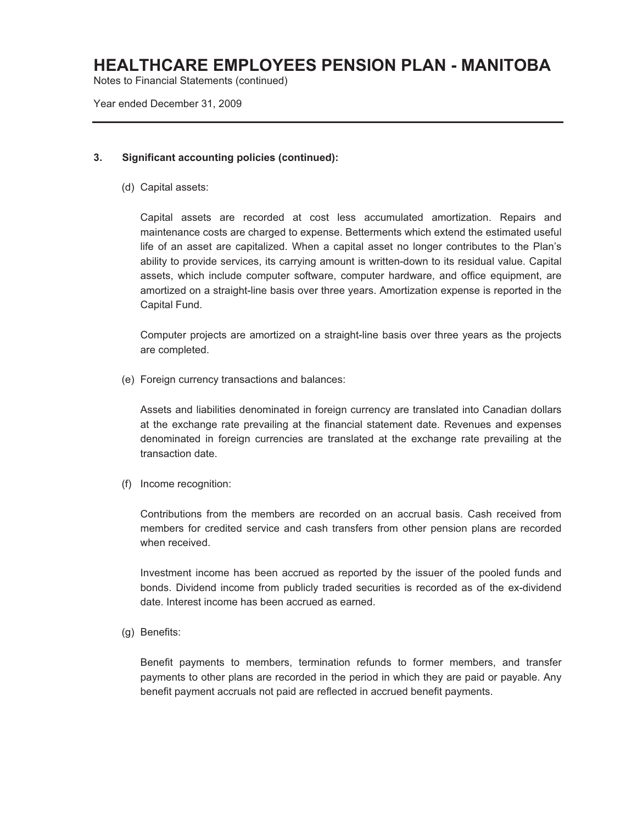Notes to Financial Statements (continued)

Year ended December 31, 2009

#### **3. Significant accounting policies (continued):**

(d) Capital assets:

Capital assets are recorded at cost less accumulated amortization. Repairs and maintenance costs are charged to expense. Betterments which extend the estimated useful life of an asset are capitalized. When a capital asset no longer contributes to the Plan's ability to provide services, its carrying amount is written-down to its residual value. Capital assets, which include computer software, computer hardware, and office equipment, are amortized on a straight-line basis over three years. Amortization expense is reported in the Capital Fund.

Computer projects are amortized on a straight-line basis over three years as the projects are completed.

(e) Foreign currency transactions and balances:

Assets and liabilities denominated in foreign currency are translated into Canadian dollars at the exchange rate prevailing at the financial statement date. Revenues and expenses denominated in foreign currencies are translated at the exchange rate prevailing at the transaction date.

(f) Income recognition:

Contributions from the members are recorded on an accrual basis. Cash received from members for credited service and cash transfers from other pension plans are recorded when received.

Investment income has been accrued as reported by the issuer of the pooled funds and bonds. Dividend income from publicly traded securities is recorded as of the ex-dividend date. Interest income has been accrued as earned.

(g) Benefits:

Benefit payments to members, termination refunds to former members, and transfer payments to other plans are recorded in the period in which they are paid or payable. Any benefit payment accruals not paid are reflected in accrued benefit payments.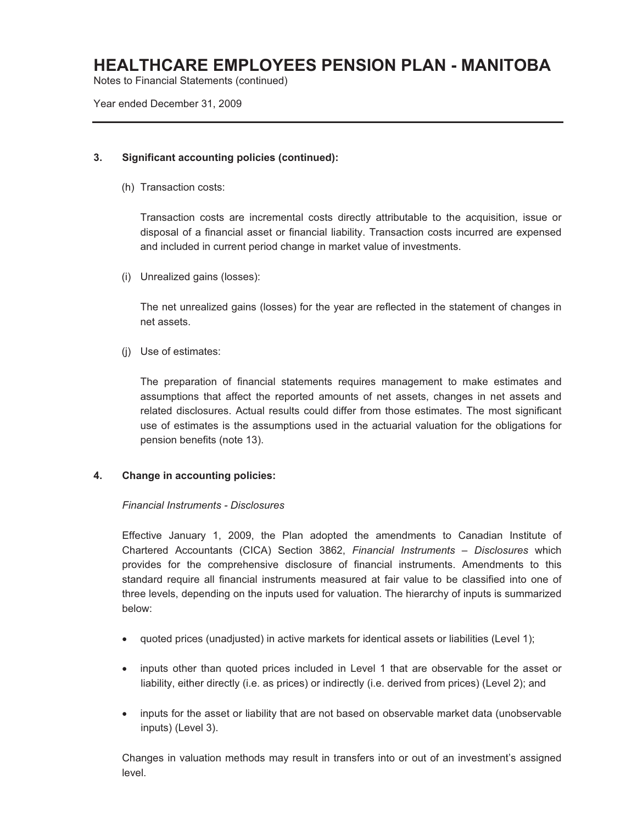Notes to Financial Statements (continued)

Year ended December 31, 2009

#### **3. Significant accounting policies (continued):**

(h) Transaction costs:

Transaction costs are incremental costs directly attributable to the acquisition, issue or disposal of a financial asset or financial liability. Transaction costs incurred are expensed and included in current period change in market value of investments.

(i) Unrealized gains (losses):

The net unrealized gains (losses) for the year are reflected in the statement of changes in net assets.

(j) Use of estimates:

The preparation of financial statements requires management to make estimates and assumptions that affect the reported amounts of net assets, changes in net assets and related disclosures. Actual results could differ from those estimates. The most significant use of estimates is the assumptions used in the actuarial valuation for the obligations for pension benefits (note 13).

#### **4. Change in accounting policies:**

#### *Financial Instruments - Disclosures*

Effective January 1, 2009, the Plan adopted the amendments to Canadian Institute of Chartered Accountants (CICA) Section 3862, *Financial Instruments – Disclosures* which provides for the comprehensive disclosure of financial instruments. Amendments to this standard require all financial instruments measured at fair value to be classified into one of three levels, depending on the inputs used for valuation. The hierarchy of inputs is summarized below:

- quoted prices (unadjusted) in active markets for identical assets or liabilities (Level 1);
- inputs other than quoted prices included in Level 1 that are observable for the asset or liability, either directly (i.e. as prices) or indirectly (i.e. derived from prices) (Level 2); and
- inputs for the asset or liability that are not based on observable market data (unobservable inputs) (Level 3).

Changes in valuation methods may result in transfers into or out of an investment's assigned level.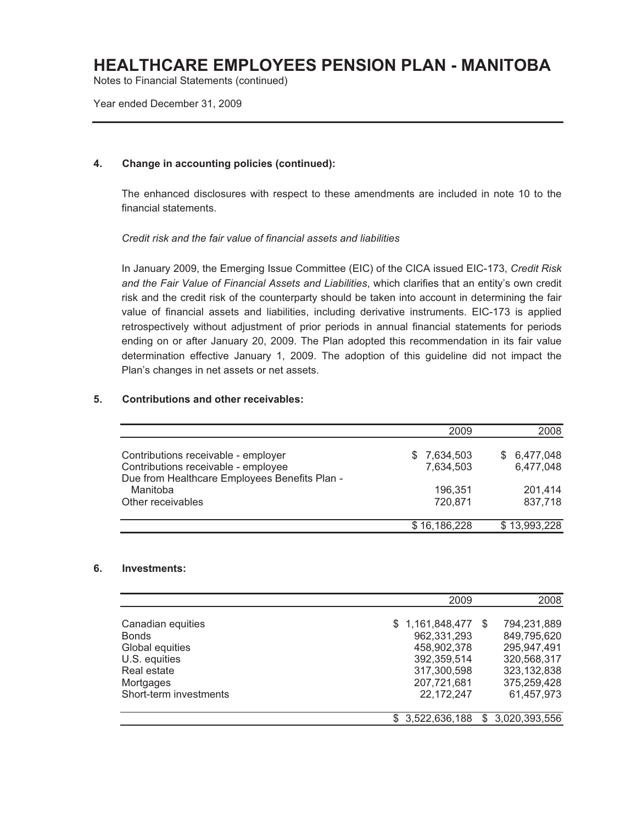Notes to Financial Statements (continued)

Year ended December 31, 2009

#### **4. Change in accounting policies (continued):**

The enhanced disclosures with respect to these amendments are included in note 10 to the financial statements.

#### *Credit risk and the fair value of financial assets and liabilities*

In January 2009, the Emerging Issue Committee (EIC) of the CICA issued EIC-173, *Credit Risk and the Fair Value of Financial Assets and Liabilities*, which clarifies that an entity's own credit risk and the credit risk of the counterparty should be taken into account in determining the fair value of financial assets and liabilities, including derivative instruments. EIC-173 is applied retrospectively without adjustment of prior periods in annual financial statements for periods ending on or after January 20, 2009. The Plan adopted this recommendation in its fair value determination effective January 1, 2009. The adoption of this guideline did not impact the Plan's changes in net assets or net assets.

#### **5. Contributions and other receivables:**

|                                                                                                                             | 2009                      | 2008                         |
|-----------------------------------------------------------------------------------------------------------------------------|---------------------------|------------------------------|
| Contributions receivable - employer<br>Contributions receivable - employee<br>Due from Healthcare Employees Benefits Plan - | \$ 7,634,503<br>7,634,503 | 6,477,048<br>S.<br>6,477,048 |
| Manitoba<br>Other receivables                                                                                               | 196.351<br>720,871        | 201,414<br>837,718           |
|                                                                                                                             | \$16,186,228              | \$13,993,228                 |

#### **6. Investments:**

|                        | 2009            | 2008                 |
|------------------------|-----------------|----------------------|
|                        |                 |                      |
| Canadian equities      | \$1,161,848,477 | 794,231,889<br>-S    |
| <b>Bonds</b>           | 962,331,293     | 849,795,620          |
| Global equities        | 458,902,378     | 295,947,491          |
| U.S. equities          | 392,359,514     | 320,568,317          |
| Real estate            | 317,300,598     | 323, 132, 838        |
| Mortgages              | 207,721,681     | 375,259,428          |
| Short-term investments | 22,172,247      | 61,457,973           |
|                        |                 |                      |
|                        | \$3,522,636,188 | 3,020,393,556<br>\$. |
|                        |                 |                      |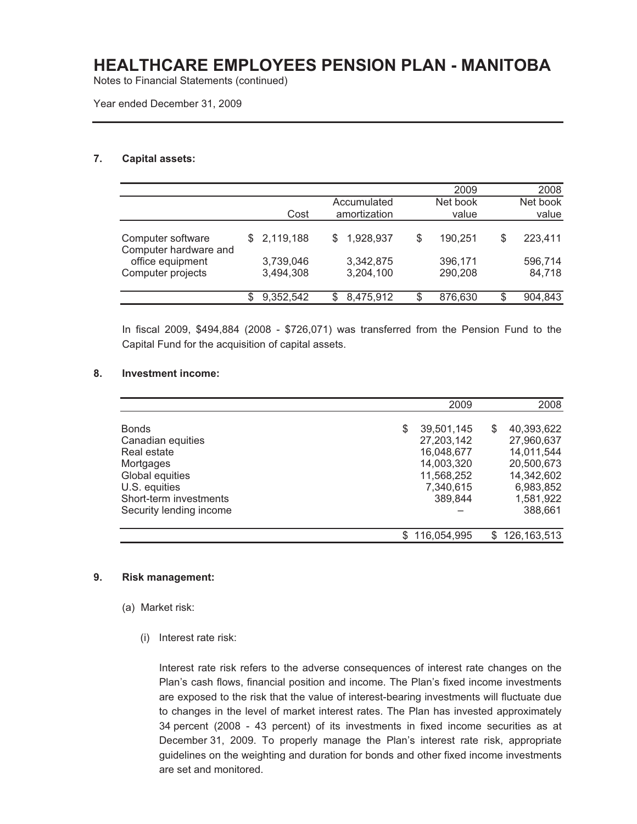Notes to Financial Statements (continued)

Year ended December 31, 2009

#### **7. Capital assets:**

|                                            |                        |   |                             | 2009               |    | 2008              |
|--------------------------------------------|------------------------|---|-----------------------------|--------------------|----|-------------------|
|                                            | Cost                   |   | Accumulated<br>amortization | Net book<br>value  |    | Net book<br>value |
| Computer software<br>Computer hardware and | \$2,119,188            |   | 1,928,937                   | \$<br>190,251      | \$ | 223,411           |
| office equipment<br>Computer projects      | 3,739,046<br>3,494,308 |   | 3,342,875<br>3,204,100      | 396,171<br>290,208 |    | 596,714<br>84,718 |
|                                            | 9,352,542              | S | 8,475,912                   | \$<br>876,630      | S  | 904,843           |

In fiscal 2009, \$494,884 (2008 - \$726,071) was transferred from the Pension Fund to the Capital Fund for the acquisition of capital assets.

#### **8. Investment income:**

|                         |   | 2009               | 2008          |
|-------------------------|---|--------------------|---------------|
|                         |   |                    |               |
| <b>Bonds</b>            | S | 39,501,145<br>S    | 40,393,622    |
| Canadian equities       |   | 27,203,142         | 27,960,637    |
| Real estate             |   | 16,048,677         | 14,011,544    |
| Mortgages               |   | 14,003,320         | 20,500,673    |
| Global equities         |   | 11,568,252         | 14,342,602    |
| U.S. equities           |   | 7,340,615          | 6,983,852     |
| Short-term investments  |   | 389.844            | 1,581,922     |
| Security lending income |   |                    | 388,661       |
|                         |   | 116,054,995<br>\$. | 126, 163, 513 |
|                         |   |                    |               |

#### **9. Risk management:**

- (a) Market risk:
	- (i) Interest rate risk:

Interest rate risk refers to the adverse consequences of interest rate changes on the Plan's cash flows, financial position and income. The Plan's fixed income investments are exposed to the risk that the value of interest-bearing investments will fluctuate due to changes in the level of market interest rates. The Plan has invested approximately 34 percent (2008 - 43 percent) of its investments in fixed income securities as at December 31, 2009. To properly manage the Plan's interest rate risk, appropriate guidelines on the weighting and duration for bonds and other fixed income investments are set and monitored.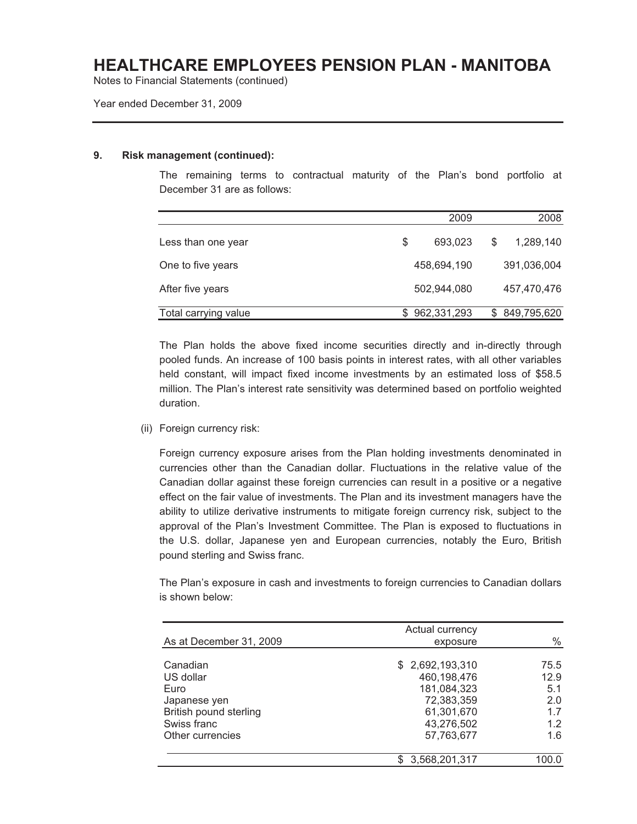Notes to Financial Statements (continued)

Year ended December 31, 2009

#### **9. Risk management (continued):**

The remaining terms to contractual maturity of the Plan's bond portfolio at December 31 are as follows:

|                      | 2009          | 2008            |
|----------------------|---------------|-----------------|
| Less than one year   | \$<br>693,023 | \$<br>1,289,140 |
| One to five years    | 458,694,190   | 391,036,004     |
| After five years     | 502,944,080   | 457,470,476     |
| Total carrying value | 962,331,293   | \$849,795,620   |

The Plan holds the above fixed income securities directly and in-directly through pooled funds. An increase of 100 basis points in interest rates, with all other variables held constant, will impact fixed income investments by an estimated loss of \$58.5 million. The Plan's interest rate sensitivity was determined based on portfolio weighted duration.

(ii) Foreign currency risk:

Foreign currency exposure arises from the Plan holding investments denominated in currencies other than the Canadian dollar. Fluctuations in the relative value of the Canadian dollar against these foreign currencies can result in a positive or a negative effect on the fair value of investments. The Plan and its investment managers have the ability to utilize derivative instruments to mitigate foreign currency risk, subject to the approval of the Plan's Investment Committee. The Plan is exposed to fluctuations in the U.S. dollar, Japanese yen and European currencies, notably the Euro, British pound sterling and Swiss franc.

The Plan's exposure in cash and investments to foreign currencies to Canadian dollars is shown below:

| As at December 31, 2009                                                                                    | Actual currency<br>exposure                                                                           | $\%$                                            |
|------------------------------------------------------------------------------------------------------------|-------------------------------------------------------------------------------------------------------|-------------------------------------------------|
| Canadian<br>US dollar<br>Euro<br>Japanese yen<br>British pound sterling<br>Swiss franc<br>Other currencies | \$2,692,193,310<br>460,198,476<br>181,084,323<br>72,383,359<br>61,301,670<br>43,276,502<br>57,763,677 | 75.5<br>12.9<br>5.1<br>2.0<br>1.7<br>1.2<br>1.6 |
|                                                                                                            | 3,568,201,317<br>S                                                                                    |                                                 |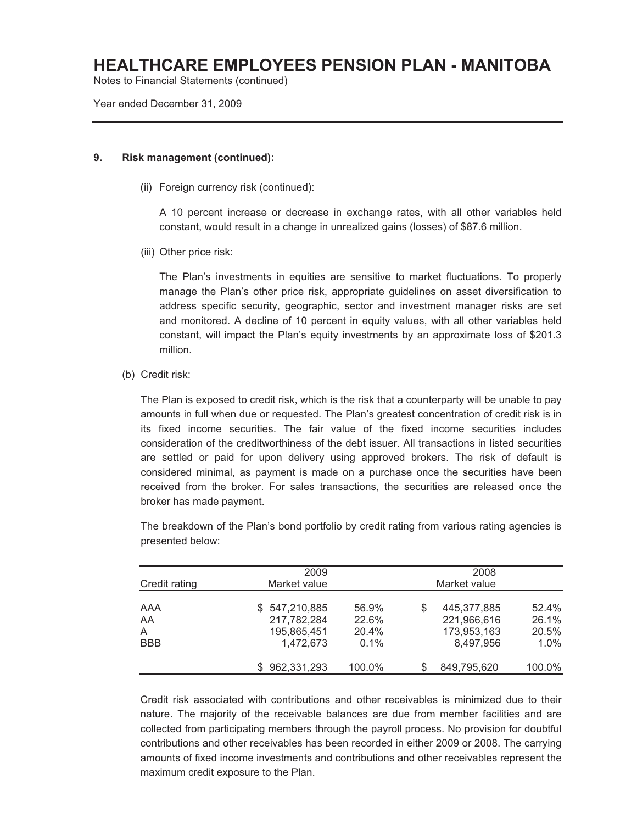Notes to Financial Statements (continued)

Year ended December 31, 2009

#### **9. Risk management (continued):**

(ii) Foreign currency risk (continued):

A 10 percent increase or decrease in exchange rates, with all other variables held constant, would result in a change in unrealized gains (losses) of \$87.6 million.

(iii) Other price risk:

The Plan's investments in equities are sensitive to market fluctuations. To properly manage the Plan's other price risk, appropriate guidelines on asset diversification to address specific security, geographic, sector and investment manager risks are set and monitored. A decline of 10 percent in equity values, with all other variables held constant, will impact the Plan's equity investments by an approximate loss of \$201.3 million.

(b) Credit risk:

The Plan is exposed to credit risk, which is the risk that a counterparty will be unable to pay amounts in full when due or requested. The Plan's greatest concentration of credit risk is in its fixed income securities. The fair value of the fixed income securities includes consideration of the creditworthiness of the debt issuer. All transactions in listed securities are settled or paid for upon delivery using approved brokers. The risk of default is considered minimal, as payment is made on a purchase once the securities have been received from the broker. For sales transactions, the securities are released once the broker has made payment.

| Credit rating                | 2009<br>Market value                                         |                                 | 2008<br>Market value |                                                        |                                    |  |  |
|------------------------------|--------------------------------------------------------------|---------------------------------|----------------------|--------------------------------------------------------|------------------------------------|--|--|
| AAA<br>AA<br>A<br><b>BBB</b> | 547,210,885<br>S.<br>217,782,284<br>195,865,451<br>1,472,673 | 56.9%<br>22.6%<br>20.4%<br>0.1% | S                    | 445,377,885<br>221,966,616<br>173,953,163<br>8,497,956 | 52.4%<br>26.1%<br>20.5%<br>$1.0\%$ |  |  |
|                              | 962,331,293                                                  | 100.0%                          | S                    | 849,795,620                                            | 100.0%                             |  |  |

The breakdown of the Plan's bond portfolio by credit rating from various rating agencies is presented below:

Credit risk associated with contributions and other receivables is minimized due to their nature. The majority of the receivable balances are due from member facilities and are collected from participating members through the payroll process. No provision for doubtful contributions and other receivables has been recorded in either 2009 or 2008. The carrying amounts of fixed income investments and contributions and other receivables represent the maximum credit exposure to the Plan.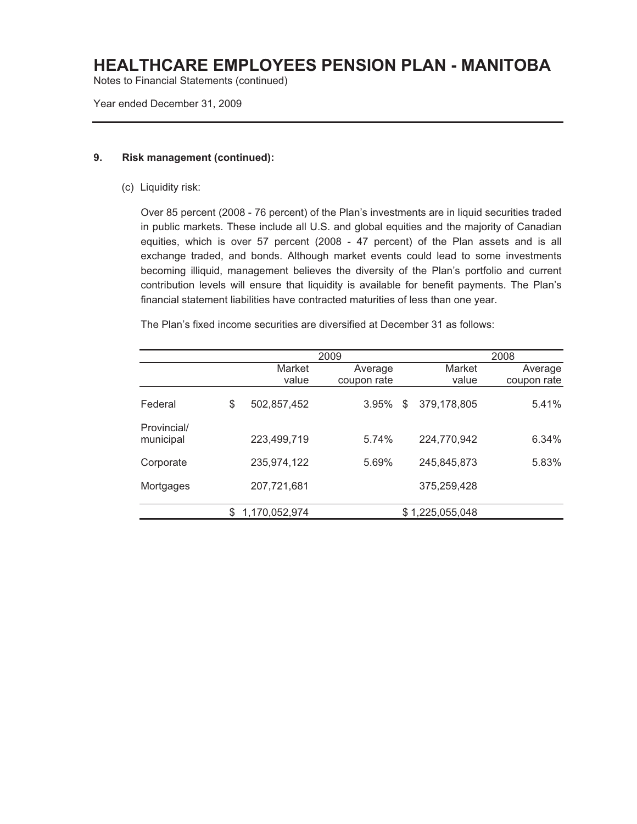Notes to Financial Statements (continued)

Year ended December 31, 2009

#### **9. Risk management (continued):**

(c) Liquidity risk:

Over 85 percent (2008 - 76 percent) of the Plan's investments are in liquid securities traded in public markets. These include all U.S. and global equities and the majority of Canadian equities, which is over 57 percent (2008 - 47 percent) of the Plan assets and is all exchange traded, and bonds. Although market events could lead to some investments becoming illiquid, management believes the diversity of the Plan's portfolio and current contribution levels will ensure that liquidity is available for benefit payments. The Plan's financial statement liabilities have contracted maturities of less than one year.

The Plan's fixed income securities are diversified at December 31 as follows:

|                          |                     | 2009        |   | 2008            |             |
|--------------------------|---------------------|-------------|---|-----------------|-------------|
|                          | Market              | Average     |   | Market          | Average     |
|                          | value               | coupon rate |   | value           | coupon rate |
| Federal                  | \$<br>502,857,452   | 3.95%       | S | 379,178,805     | 5.41%       |
| Provincial/<br>municipal | 223,499,719         | 5.74%       |   | 224,770,942     | 6.34%       |
| Corporate                | 235,974,122         | 5.69%       |   | 245,845,873     | 5.83%       |
| Mortgages                | 207,721,681         |             |   | 375,259,428     |             |
|                          | \$<br>1,170,052,974 |             |   | \$1,225,055,048 |             |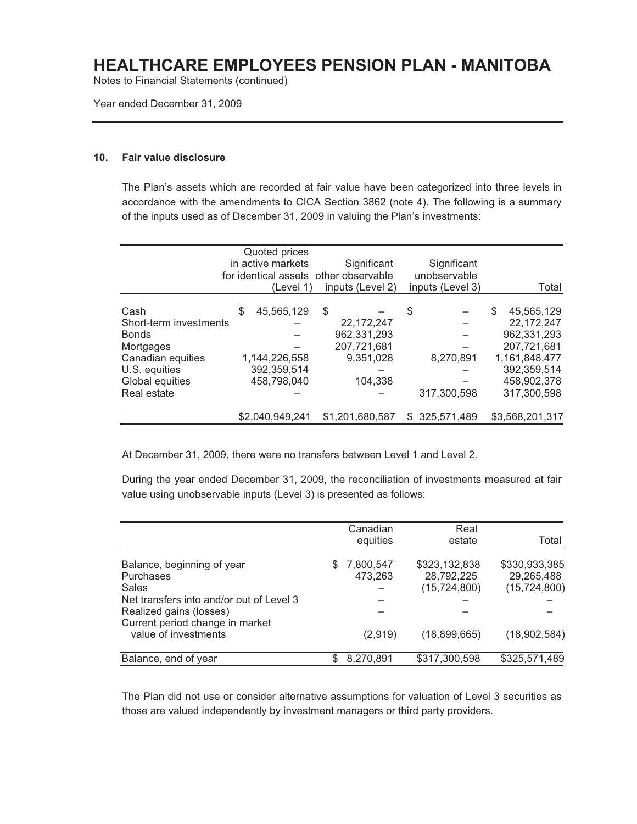Notes to Financial Statements (continued)

Year ended December 31, 2009

#### **10. Fair value disclosure**

The Plan's assets which are recorded at fair value have been categorized into three levels in accordance with the amendments to CICA Section 3862 (note 4). The following is a summary of the inputs used as of December 31, 2009 in valuing the Plan's investments:

|                                                                                                                                     |   | Quoted prices<br>in active markets<br>(Level 1)           | Significant<br>for identical assets other observable<br>inputs (Level 2) | Significant<br>unobservable<br>inputs (Level 3) | Total                                                                                                                     |
|-------------------------------------------------------------------------------------------------------------------------------------|---|-----------------------------------------------------------|--------------------------------------------------------------------------|-------------------------------------------------|---------------------------------------------------------------------------------------------------------------------------|
| Cash<br>Short-term investments<br><b>Bonds</b><br>Mortgages<br>Canadian equities<br>U.S. equities<br>Global equities<br>Real estate | S | 45,565,129<br>1,144,226,558<br>392,359,514<br>458,798,040 | \$<br>22,172,247<br>962,331,293<br>207,721,681<br>9,351,028<br>104,338   | \$<br>8,270,891<br>317,300,598                  | 45,565,129<br>S<br>22,172,247<br>962,331,293<br>207,721,681<br>1,161,848,477<br>392,359,514<br>458,902,378<br>317,300,598 |
|                                                                                                                                     |   | \$2,040,949,241                                           | \$1.201.680.587                                                          | 325,571,489<br>S.                               | \$3,568,201,317                                                                                                           |

At December 31, 2009, there were no transfers between Level 1 and Level 2.

During the year ended December 31, 2009, the reconciliation of investments measured at fair value using unobservable inputs (Level 3) is presented as follows:

|                                                                                                                                                                                           |   | Canadian<br>equities | Real<br>estate                                | Total                                         |
|-------------------------------------------------------------------------------------------------------------------------------------------------------------------------------------------|---|----------------------|-----------------------------------------------|-----------------------------------------------|
| Balance, beginning of year<br><b>Purchases</b><br>Sales<br>Net transfers into and/or out of Level 3<br>Realized gains (losses)<br>Current period change in market<br>value of investments | S | 7,800,547<br>473,263 | \$323,132,838<br>28,792,225<br>(15, 724, 800) | \$330,933,385<br>29,265,488<br>(15, 724, 800) |
|                                                                                                                                                                                           |   |                      |                                               |                                               |
|                                                                                                                                                                                           |   | (2,919)              | (18,899,665)                                  | (18,902,584)                                  |
| Balance, end of year                                                                                                                                                                      |   | 8,270,891            | \$317,300,598                                 | \$325,571,489                                 |

The Plan did not use or consider alternative assumptions for valuation of Level 3 securities as those are valued independently by investment managers or third party providers.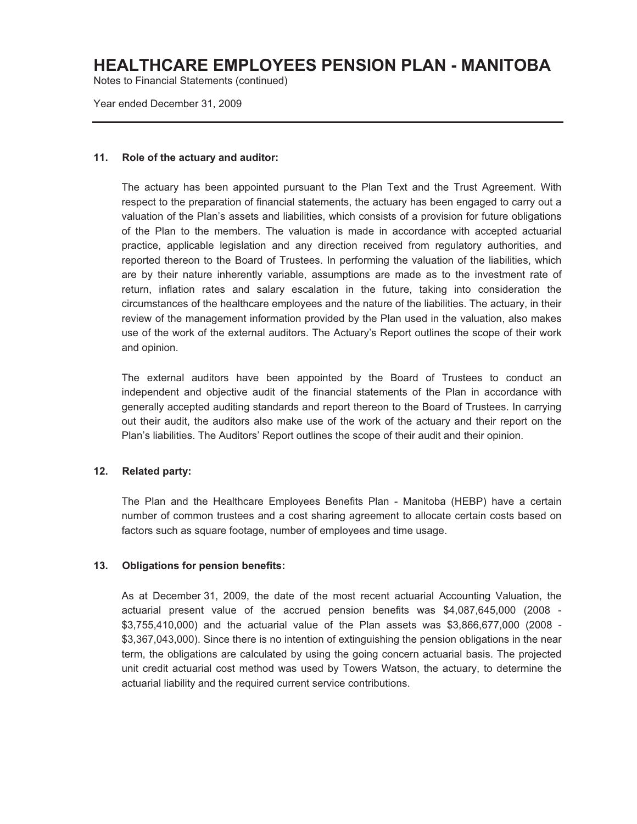Notes to Financial Statements (continued)

Year ended December 31, 2009

#### **11. Role of the actuary and auditor:**

The actuary has been appointed pursuant to the Plan Text and the Trust Agreement. With respect to the preparation of financial statements, the actuary has been engaged to carry out a valuation of the Plan's assets and liabilities, which consists of a provision for future obligations of the Plan to the members. The valuation is made in accordance with accepted actuarial practice, applicable legislation and any direction received from regulatory authorities, and reported thereon to the Board of Trustees. In performing the valuation of the liabilities, which are by their nature inherently variable, assumptions are made as to the investment rate of return, inflation rates and salary escalation in the future, taking into consideration the circumstances of the healthcare employees and the nature of the liabilities. The actuary, in their review of the management information provided by the Plan used in the valuation, also makes use of the work of the external auditors. The Actuary's Report outlines the scope of their work and opinion.

The external auditors have been appointed by the Board of Trustees to conduct an independent and objective audit of the financial statements of the Plan in accordance with generally accepted auditing standards and report thereon to the Board of Trustees. In carrying out their audit, the auditors also make use of the work of the actuary and their report on the Plan's liabilities. The Auditors' Report outlines the scope of their audit and their opinion.

#### **12. Related party:**

The Plan and the Healthcare Employees Benefits Plan - Manitoba (HEBP) have a certain number of common trustees and a cost sharing agreement to allocate certain costs based on factors such as square footage, number of employees and time usage.

#### **13. Obligations for pension benefits:**

As at December 31, 2009, the date of the most recent actuarial Accounting Valuation, the actuarial present value of the accrued pension benefits was \$4,087,645,000 (2008 - \$3,755,410,000) and the actuarial value of the Plan assets was \$3,866,677,000 (2008 - \$3,367,043,000). Since there is no intention of extinguishing the pension obligations in the near term, the obligations are calculated by using the going concern actuarial basis. The projected unit credit actuarial cost method was used by Towers Watson, the actuary, to determine the actuarial liability and the required current service contributions.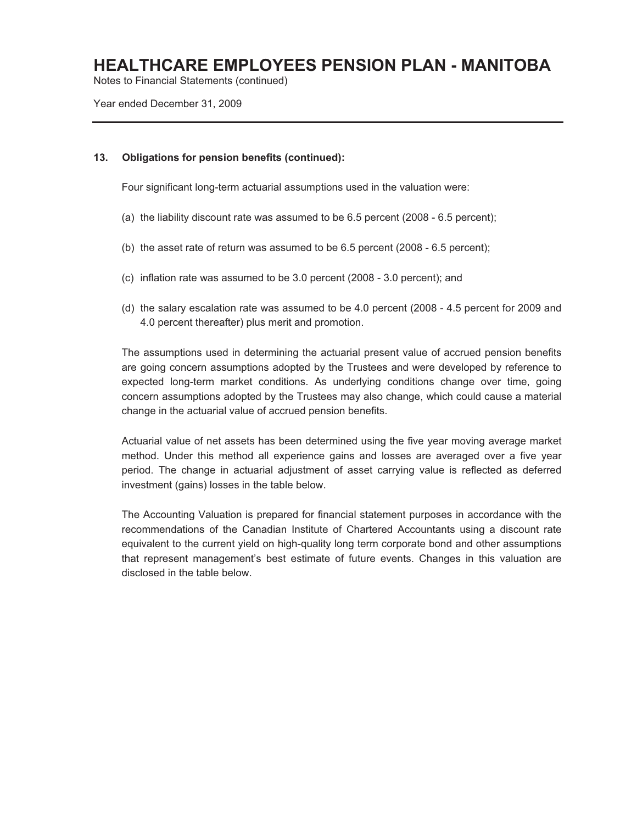Notes to Financial Statements (continued)

Year ended December 31, 2009

#### **13. Obligations for pension benefits (continued):**

Four significant long-term actuarial assumptions used in the valuation were:

- (a) the liability discount rate was assumed to be 6.5 percent (2008 6.5 percent);
- (b) the asset rate of return was assumed to be 6.5 percent (2008 6.5 percent);
- (c) inflation rate was assumed to be 3.0 percent (2008 3.0 percent); and
- (d) the salary escalation rate was assumed to be 4.0 percent (2008 4.5 percent for 2009 and 4.0 percent thereafter) plus merit and promotion.

The assumptions used in determining the actuarial present value of accrued pension benefits are going concern assumptions adopted by the Trustees and were developed by reference to expected long-term market conditions. As underlying conditions change over time, going concern assumptions adopted by the Trustees may also change, which could cause a material change in the actuarial value of accrued pension benefits.

Actuarial value of net assets has been determined using the five year moving average market method. Under this method all experience gains and losses are averaged over a five year period. The change in actuarial adjustment of asset carrying value is reflected as deferred investment (gains) losses in the table below.

The Accounting Valuation is prepared for financial statement purposes in accordance with the recommendations of the Canadian Institute of Chartered Accountants using a discount rate equivalent to the current yield on high-quality long term corporate bond and other assumptions that represent management's best estimate of future events. Changes in this valuation are disclosed in the table below.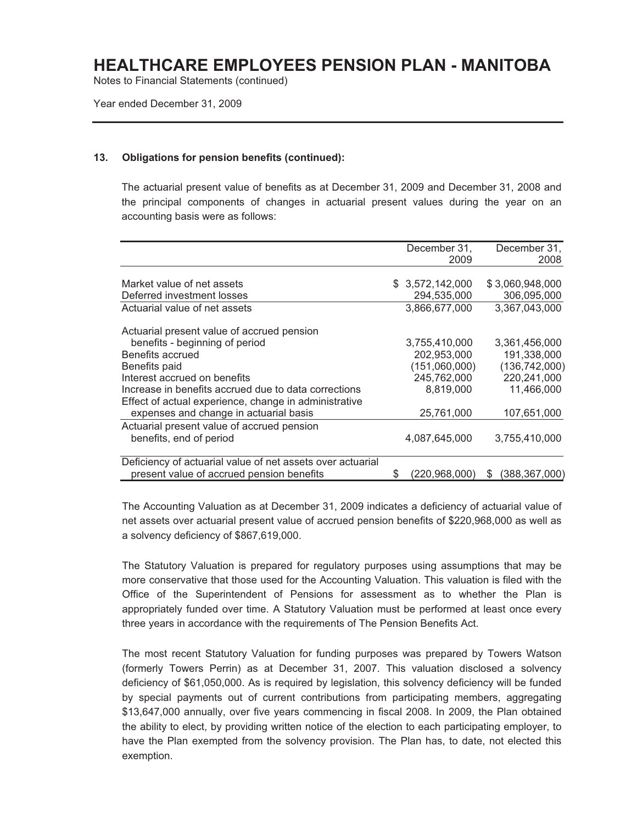Notes to Financial Statements (continued)

Year ended December 31, 2009

#### **13. Obligations for pension benefits (continued):**

The actuarial present value of benefits as at December 31, 2009 and December 31, 2008 and the principal components of changes in actuarial present values during the year on an accounting basis were as follows:

|                                                            |   | December 31,    | December 31,         |
|------------------------------------------------------------|---|-----------------|----------------------|
|                                                            |   | 2009            | 2008                 |
|                                                            |   |                 |                      |
| Market value of net assets                                 |   | \$3,572,142,000 | \$3,060,948,000      |
| Deferred investment losses                                 |   | 294,535,000     | 306,095,000          |
| Actuarial value of net assets                              |   | 3,866,677,000   | 3,367,043,000        |
| Actuarial present value of accrued pension                 |   |                 |                      |
| benefits - beginning of period                             |   | 3,755,410,000   | 3,361,456,000        |
| Benefits accrued                                           |   | 202,953,000     | 191,338,000          |
| Benefits paid                                              |   | (151,060,000)   | (136, 742, 000)      |
| Interest accrued on benefits                               |   | 245,762,000     | 220,241,000          |
| Increase in benefits accrued due to data corrections       |   | 8.819.000       | 11,466,000           |
| Effect of actual experience, change in administrative      |   |                 |                      |
| expenses and change in actuarial basis                     |   | 25,761,000      | 107,651,000          |
| Actuarial present value of accrued pension                 |   |                 |                      |
| benefits, end of period                                    |   | 4,087,645,000   | 3,755,410,000        |
| Deficiency of actuarial value of net assets over actuarial |   |                 |                      |
| present value of accrued pension benefits                  | S | (220,968,000)   | (388, 367, 000)<br>S |

The Accounting Valuation as at December 31, 2009 indicates a deficiency of actuarial value of net assets over actuarial present value of accrued pension benefits of \$220,968,000 as well as a solvency deficiency of \$867,619,000.

The Statutory Valuation is prepared for regulatory purposes using assumptions that may be more conservative that those used for the Accounting Valuation. This valuation is filed with the Office of the Superintendent of Pensions for assessment as to whether the Plan is appropriately funded over time. A Statutory Valuation must be performed at least once every three years in accordance with the requirements of The Pension Benefits Act.

The most recent Statutory Valuation for funding purposes was prepared by Towers Watson (formerly Towers Perrin) as at December 31, 2007. This valuation disclosed a solvency deficiency of \$61,050,000. As is required by legislation, this solvency deficiency will be funded by special payments out of current contributions from participating members, aggregating \$13,647,000 annually, over five years commencing in fiscal 2008. In 2009, the Plan obtained the ability to elect, by providing written notice of the election to each participating employer, to have the Plan exempted from the solvency provision. The Plan has, to date, not elected this exemption.